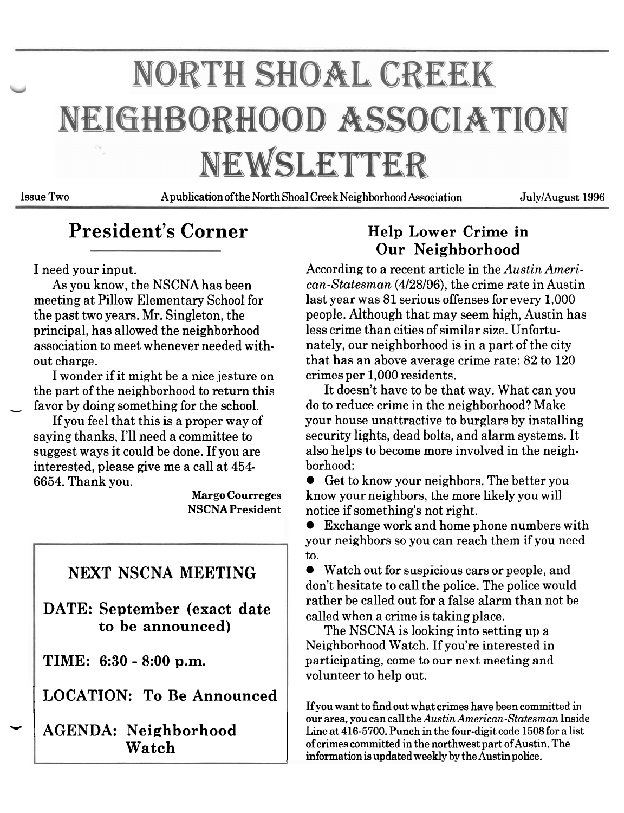# NORTH SHOAL CREEK NEIGHBORHOOD ASSOCIATION NEWSLETTER

**Issue Two A publication ofthe North Shoal Creek Neighborhood Association JulyIAugust 1996** 

## **President's Corner** Help Lower Crime in

I wonder if it might be a nice jesture on crimes per 1,000 residents.

interested, please give me a call at 454- borhood:

## **NEXT NSCNA MEETING**

**DATE: September (exact date to be announced)** 

**TIME: 6:30** - **8:00 p.m.** 

I **LOCATION: To Be Announced** 

# **Our Neighborhood**

I need your input. According to a recent article in the *Austin Ameri*-As you know, the NSCNA has been *can-Statesman* (4/28/96), the crime rate in Austin meeting at Pillow Elementary School for last year was 81 serious offenses for every 1,000 the past two years. Mr. Singleton, the people. Although that may seem high, Austin has principal, has allowed the neighborhood less crime than cities of similar size. Unfortu-<br>association to meet whenever needed with-<br>nately, our neighborhood is in a part of the ci nately, our neighborhood is in a part of the city out charge. that has an above average crime rate: 82 to 120

the part of the neighborhood to return this It doesn't have to be that way. What can you favor by doing something for the school. do to reduce crime in the neighborhood? Make If you feel that this is a proper way of your house unattractive to burglars by installing saying thanks, I'll need a committee to security lights, dead bolts, and alarm systems. It<br>suggest ways it could be done. If you are also helps to become more involved in the neighalso helps to become more involved in the neigh-

6654. Thank you. Get to know your neighbors. The better you **Margo Courreges** know your neighbors, the more likely you will **NSCNAPresident** notice if something's not right.

Exchange work and home phone numbers with your neighbors so you can reach them if you need to.

Watch out for suspicious cars or people, and don't hesitate to call the police. The police would rather be called out for a false alarm than not be called when a crime is taking place.

The NSCNA is looking into setting up a Neighborhood Watch. If you're interested in participating, come to our next meeting and volunteer to help out.

**I** our area, you can call the *Austin American-Statesman* Inside<br>
Line at 416-5700. Punch in the four-digit code 1508 for a list TIME: 6:30 - 8:00 p.m.<br>
LOCATION: To Be Announced<br>
AGENDA: Neighborhood<br>
Neighborhood<br>
If you want to find out what crimes have been committed in<br>
If you want to find out what crimes have been committed in<br>
If you want to **If you want to find out what crimes have been committed in Watch of crimes committed in the northwest part of Austin. The** information is updated weekly by the Austin police.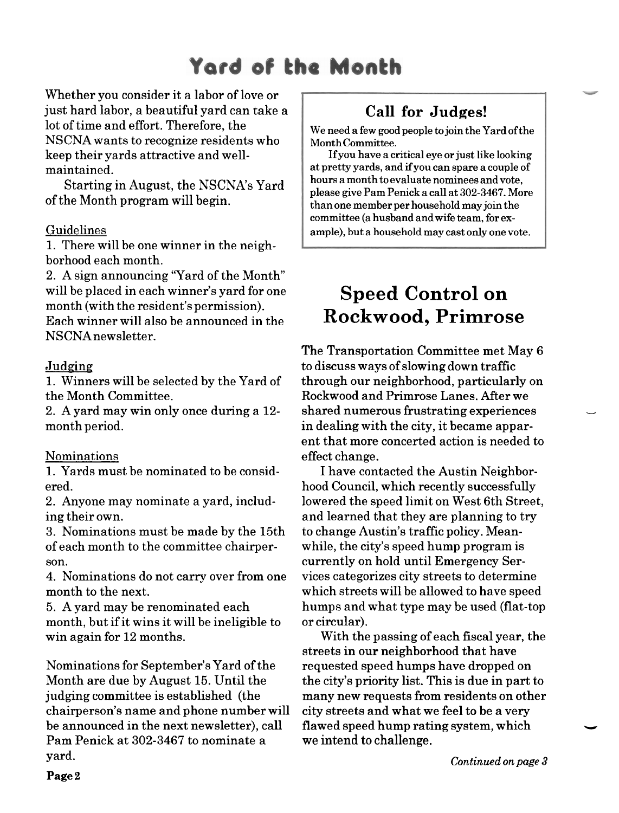## Yard of the Month

Whether you consider it a labor of love or just hard labor, a beautiful yard can take a lot of time and effort. Therefore, the NSCNA wants to recognize residents who keep their yards attractive and wellmaintained.

Starting in August, the NSCNA's Yard of the Month program will begin.

#### Guidelines

1. There will be one winner in the neighborhood each month.

2. **A** sign announcing 'Yard of the Month" will be placed in each winner's yard for one month (with the resident's permission). Each winner will also be announced in the NSCNA newsletter.

#### Judging

1. Winners will be selected by the Yard of the Month Committee.

2. A yard may win only once during a 12 month period.

#### Nominations

1. Yards must be nominated to be considered.

2. Anyone may nominate a yard, including their own.

3. Nominations must be made by the 15th of each month to the committee chairperson.

4. Nominations do not carry over from one month to the next.

5. **A** yard may be renominated each month, but if it wins it will be ineligible to win again for 12 months.

Nominations for September's Yard of the Month are due by August 15. Until the judging committee is established (the chairperson's name and phone number will be announced in the next newsletter), call Pam Penick at 302-3467 to nominate a yard.

## **Call for Judges!**

**We need a few good people to join the Yard of the Month Committee.** 

**If you have a critical eye or just like looking at pretty yards, and ifyou can spare a couple of hours a month to evaluate nominees and vote, please give Pam Penick a call at 302-3467. More than one member per household may join the committee (a husband and wife team, for example), but a household may cast only one vote.** 

## **Speed Control on Rockwood, Primrose**

The Transportation Committee met May 6 to discuss ways of slowing down traffic through our neighborhood, particularly on Rockwood and Primrose Lanes. After we shared numerous frustrating experiences in dealing with the city, it became apparent that more concerted action is needed to effect change.

I have contacted the Austin Neighborhood Council, which recently successfully lowered the speed limit on West 6th Street, and learned that they are planning to try to change Austin's traffic policy. Meanwhile, the city's speed hump program is currently on hold until Emergency Services categorizes city streets to determine which streets will be allowed to have speed humps and what type may be used (flat-top or circular).

With the passing of each fiscal year, the streets in our neighborhood that have requested speed humps have dropped on the city's priority list. This is due in part to many new requests from residents on other city streets and what we feel to be a very flawed speed hump rating system, which we intend to challenge.

*Continued on page 3*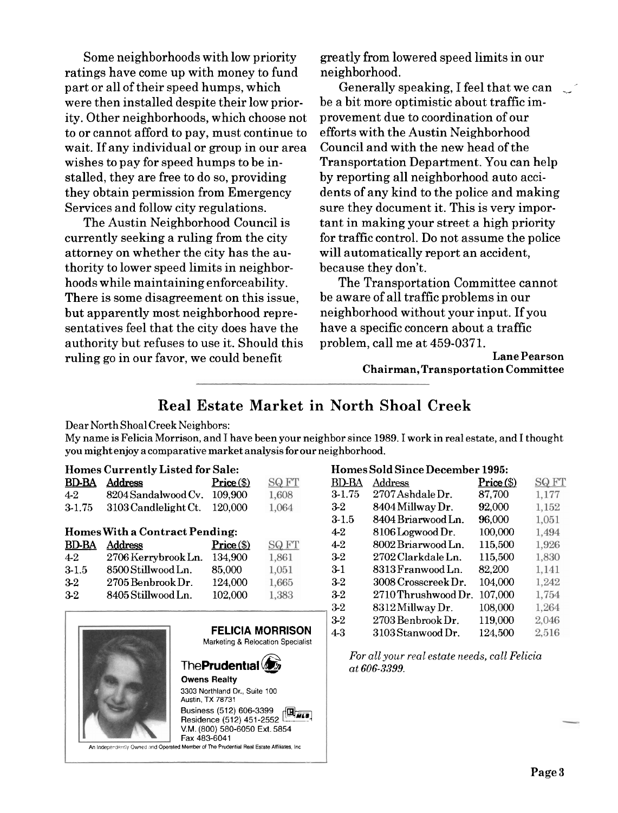Some neighborhoods with low priority greatly from lowered speed limits in our ratings have come up with money to fund neighborhood. part or all of their speed humps, which were then installed despite their low priority. Other neighborhoods, which choose not to or cannot afford to pay, must continue to wait. If any individual or group in our area wishes to pay for speed humps to be installed, they are free to do so, providing they obtain permission from Emergency Services and follow city regulations.

The Austin Neighborhood Council is currently seeking a ruling from the city attorney on whether the city has the authority to lower speed limits in neighborhoods while maintaining enforceability. There is some disagreement on this issue, but apparently most neighborhood representatives feel that the city does have the authority but refuses to use it. Should this ruling go in our favor, we could benefit

Generally speaking, I feel that we can be a bit more optimistic about traffic improvement due to coordination of our efforts with the Austin Neighborhood Council and with the new head of the Transportation Department. You can help by reporting all neighborhood auto accidents of any kind to the police and making sure they document it. This is very important in making your street a high priority for traffic control. Do not assume the police will automatically report an accident, because they don't.

The Transportation Committee cannot be aware of all traffic problems in our neighborhood without your input. If you have a specific concern about a traffic problem, call me at 459-0371.

> **Lane Pearson Chairman, Transportation Committee**

#### **Real Estate Market in North Shoal Creek**

#### Dear North Shoal Creek Neighbors:

My name is Felicia Morrison, and I have been your neighbor since 1989. I work in real estate, and I thought you might enjoy a comparative market analysis for our neighborhood.

#### **Homes Currently Listed for Sale:**

| <b>Real Estate Market</b><br>Dear North Shoal Creek Neighbors:<br>My name is Felicia Morrison, and I have been your n<br>you might enjoy a comparative market analysis for ou |                                         |              |              |  |
|-------------------------------------------------------------------------------------------------------------------------------------------------------------------------------|-----------------------------------------|--------------|--------------|--|
|                                                                                                                                                                               | <b>Homes Currently Listed for Sale:</b> |              |              |  |
| <b>BD-BA</b>                                                                                                                                                                  | Address                                 | $Price (\$)$ | <b>SQ FT</b> |  |
| $4 - 2$                                                                                                                                                                       | 8204 Sandalwood Cv. 109,900             |              | 1,608        |  |
| $3-1.75$                                                                                                                                                                      | 3103 Candlelight Ct.                    | 120,000      | 1,064        |  |
| <b>Homes With a Contract Pending:</b>                                                                                                                                         |                                         |              |              |  |
| <b>BD-BA</b>                                                                                                                                                                  | <b>Address</b>                          | $Price (\$)$ | SQ FT        |  |
| $4-2$                                                                                                                                                                         | 2706 Kerrybrook Ln.                     | 134,900      | 1,861        |  |
| $3-1.5$                                                                                                                                                                       | 8500 Stillwood Ln.                      | 85,000       | 1,051        |  |
| $3-2$                                                                                                                                                                         | 2705 Benbrook Dr. .                     | 124,000      | 1,665        |  |
| 3-2                                                                                                                                                                           | 8405 Stillwood Ln.                      | 102,000      | 1,383        |  |



#### **Homes Sold Since December 1995:**

|            | North Shoal Creek                                    |              |              |
|------------|------------------------------------------------------|--------------|--------------|
| ghborhood. | bor since 1989. I work in real estate, and I thought |              |              |
|            | <b>Homes Sold Since December 1995:</b>               |              |              |
| BD-BA      | Address                                              | $Price (\$)$ | <b>SQ FT</b> |
| $3 - 1.75$ | 2707 Ashdale Dr.                                     | 87,700       | 1,177        |
| $3-2$      | 8404 Millway Dr.                                     | 92,000       | 1,152        |
| 3-1.5      | 8404 Briarwood Ln.                                   | 96,000       | 1,051        |
| 4-2        | 8106 Logwood Dr.                                     | 100,000      | 1,494        |
| 4-2        | 8002 Briarwood Ln.                                   | 115,500      | 1,926        |
| $3-2$      | 2702 Clarkdale Ln.                                   | 115,500      | 1,830        |
| 3-1        | 8313 Franwood Ln.                                    | 82,200       | 1,141        |
| $3-2$      | 3008 Crosscreek Dr.                                  | 104,000      | 1,242        |
| 3-2        | 2710 Thrushwood Dr.                                  | 107,000      | 1,754        |
| $3-2$      | 8312 Millway Dr.                                     | 108,000      | 1,264        |
| 3-2        | 2703 Benbrook Dr.                                    | 119,000      | 2,046        |
| 4-3        | 3103 Stanwood Dr.                                    | 124,500      | 2,516        |

 $For all your real estate needs, call Felicia$ *at* **606-3399.**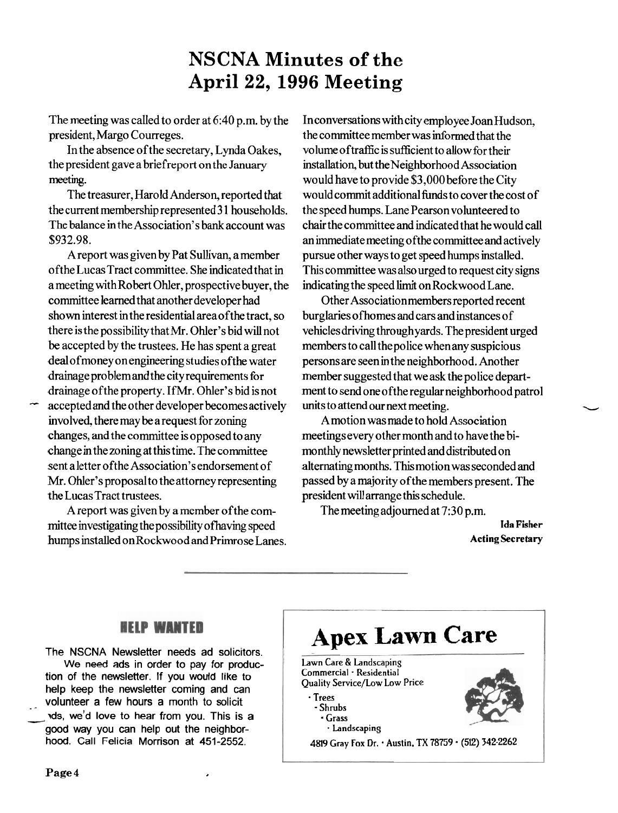## **NSCNA Minutes of the April 22, 1996 Meeting**

The meeting was called to order at 6:40 p.m. by the president, Margo Courreges.

In the absence ofthe secretary, Lynda Oakes, the president gave a briefreport on the January meeting.

The treasurer, Harold Anderson, reported that the current membership represented **3** 1 households. The balance in the Association's bank account was **\$932.98.** 

A report was given by Pat Sullivan, amember ofthe Lucas Tract committee. She indicated that in a meeting withRobert Ohler, prospective buyer, the committee learned that another developer had shown interest in the residential areaofthe tract, so there is the possibility that Mr. Ohler's bid will not be accepted by the trustees. He has spent a great dealofmoney onengineering studies ofthe water drainage problem and the city requirements for drainage ofthe property. **IfMr.** Ohler's bid is not

accepted and the other developer becomes actively involved, there may be a request for zoning changes, and the committee is opposed to any change in the zoning at this time. The committee sent aletter ofthe Association's endorsement of Mr. Ohler's proposal to the attorney representing the Lucas Tract trustees.

A report was given by a member ofthe committee investigating the possibility of having speed humps installed onRockwood and Primrose Lanes. Inconversations with city employee JoanHudson, the committee member was informed that the volume of traffic is sufficient to allow for their installation, but theNeighborhood Association would have to provide **\$3,000** before the City would commit additional funds to cover the cost of the speed humps. Lane Pearson volunteered to chair the committee and indicated that he would call an immediate meeting ofthe committee and actively pursue other ways to get speed humps installed. This committee was also urged to request city signs indicating the speed limit on Rockwood Lane.

Other Association members reported recent burglaries ofhomes and cars and instances of vehicles driving through yards. The president urged members to call the police whenany suspicious personsare seenin theneighborhood. Another member suggested that we ask the police department to send one ofthe regular neighborhood patrol member suggested that we ask the police depart-<br>ment to send one of the regular neighborhood patrol<br>units to attend our next meeting.<br>A motion was made to hold Association

A motion was made to hold Association meetings every other month and to have the bimonthly newsletter printed and distributed on alternating months. This motion was seconded and passed by a majority ofthe members present. The president will arrange this schedule.

The meeting adjourned at **7:30** p.m.

**Ida Fisher Acting Secretary** 

#### **HELP WANTED**

**The NSCNA Newsletter needs ad solicitors. We need ads in order to pay for production of the newsletter. If you would like to help keep the newsletter coming and can**  . - **volunteer a few hours a month to solicit**  from of the newsletter. If you would like to<br>help keep the newsletter coming and can<br>volunteer a few hours a month to solicit<br>ds, we'd love to hear from you. This is a<br>good way you can help out the neighbor**hood. call- Felicia Morrison at 451-2552.** 

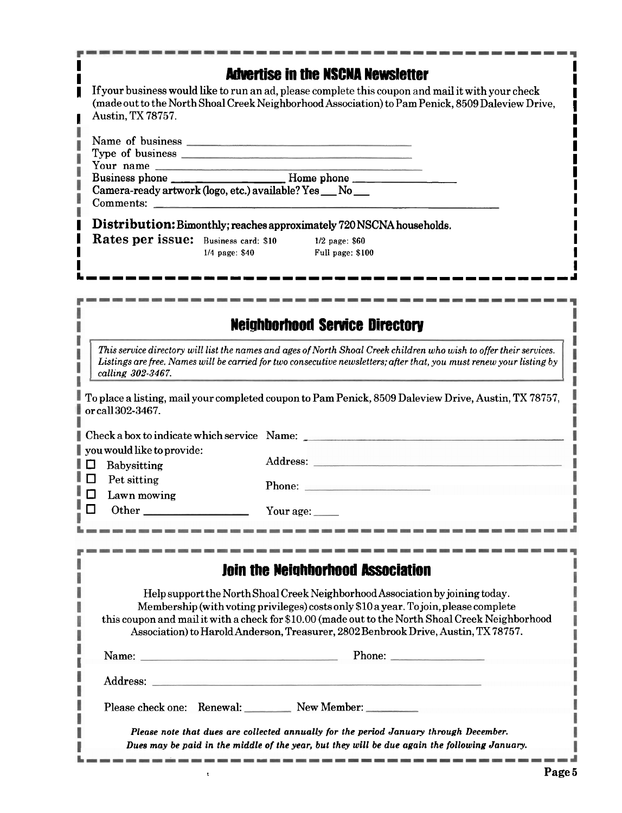## **I** Museum Museum **I** Advertise in the NSCNA Newsletter

**I**  If your business would like to run an ad, please complete this coupon and mail it with your check (made out to the North Shoal Creek Neighborhood Association) to Pam Penick, 8509 Daleview Drive, Austin, TX 78757.

| Name of business                                          |                  |                                                                      |  |
|-----------------------------------------------------------|------------------|----------------------------------------------------------------------|--|
| Type of business experiences                              |                  |                                                                      |  |
| Your name                                                 |                  |                                                                      |  |
|                                                           |                  |                                                                      |  |
| Camera-ready artwork (logo, etc.) available? Yes __ No __ |                  |                                                                      |  |
|                                                           |                  |                                                                      |  |
| Comments:                                                 |                  |                                                                      |  |
|                                                           |                  | Distribution: Bimonthly; reaches approximately 720 NSCNA households. |  |
| Rates per issue: Business card: \$10                      |                  | $1/2$ page: $$60$                                                    |  |
|                                                           | $1/4$ page: \$40 | Full page: \$100                                                     |  |

**LIIIIIIIIIIIIIIIIIIIIIIIIIIIIIIIIIIIIIJ** 

## **Neighborhood Senrice Directory**

*This service directory will list the names and ages of North Shoal Creek children who wish to offer their services. Listings are free. Names will be carried for two consecutive news1etters;afler that, you must renew your listing by calling 302-3467.* 

To place a listing, mail your completed coupon to Pam Penick, 8509 Daleview Drive, Austin, TX 78757, ٠ or call 302-3467.

| Check a box to indicate which service Name: |             |                  |
|---------------------------------------------|-------------|------------------|
| you would like to provide:                  |             |                  |
| ם ו                                         | Babysitting |                  |
| I O I                                       | Pet sitting |                  |
|                                             | Lawn mowing |                  |
|                                             |             | Your age: $\_\_$ |

| <b>Join the Neighborhood Association</b>                                                                                                                                                                                                                                                                                                                        |
|-----------------------------------------------------------------------------------------------------------------------------------------------------------------------------------------------------------------------------------------------------------------------------------------------------------------------------------------------------------------|
| Help support the North Shoal Creek Neighborhood Association by joining today.<br>Membership (with voting privileges) costs only \$10 a year. To join, please complete<br>this coupon and mail it with a check for \$10.00 (made out to the North Shoal Creek Neighborhood<br>Association) to Harold Anderson, Treasurer, 2802 Benbrook Drive, Austin, TX 78757. |
| Phone:                                                                                                                                                                                                                                                                                                                                                          |
| Address:                                                                                                                                                                                                                                                                                                                                                        |
| Please check one: Renewal: New Member:                                                                                                                                                                                                                                                                                                                          |
| Please note that dues are collected annually for the period January through December.<br>Dues may be paid in the middle of the year, but they will be due again the following January.                                                                                                                                                                          |

**I I** 

I